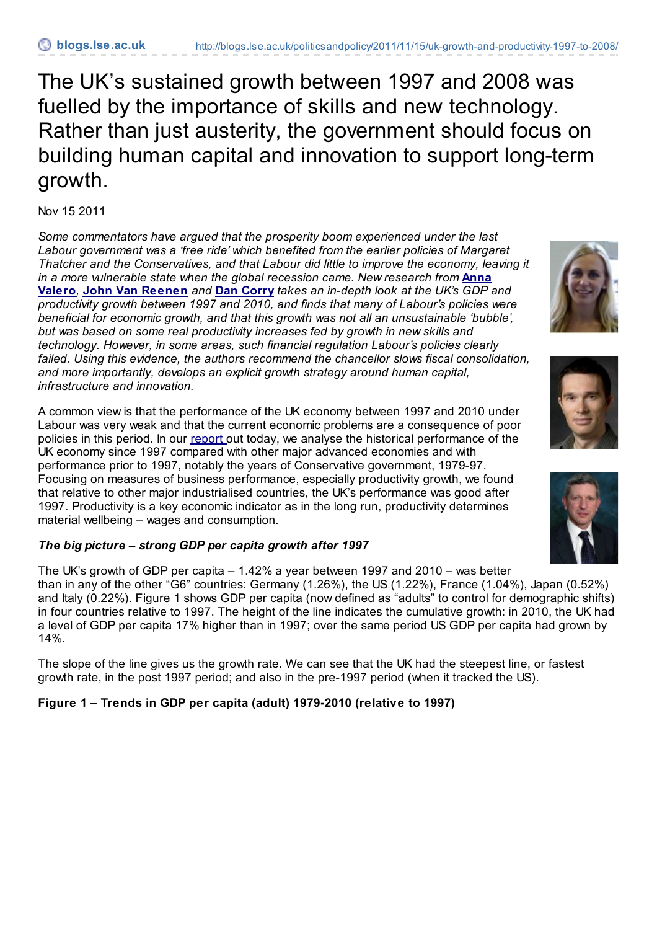The UK's sustained growth between 1997 and 2008 was fuelled by the importance of skills and new technology. Rather than just austerity, the government should focus on building human capital and innovation to support long-term growth.

Nov 15 2011

*Some commentators have argued that the prosperity boom experienced under the last Labour government was a 'free ride' which benefited from the earlier policies of Margaret Thatcher and the Conservatives, and that Labour did little to improve the economy, leaving it in a more [vulnerable](http://blogs.lse.ac.uk/politicsandpolicy/contributors/#Anna_Valero) state when the global recession came. New research from* **Anna Valero***,* **John Van [Reenen](http://blogs.lse.ac.uk/politicsandpolicy/contributors/#John_van_Reenen)** *and* **Dan [Corry](http://blogs.lse.ac.uk/politicsandpolicy/contributors/#Dan_Corry)** *takes an in-depth look at the UK's GDP and productivity growth between 1997 and 2010, and finds that many of Labour's policies were beneficial for economic growth, and that this growth was not all an unsustainable 'bubble', but was based on some real productivity increases fed by growth in new skills and technology. However, in some areas, such financial regulation Labour's policies clearly failed. Using this evidence, the authors recommend the chancellor slows fiscal consolidation, and more importantly, develops an explicit growth strategy around human capital, infrastructure and innovation.*

A common view is that the performance of the UK economy between 1997 and 2010 under Labour was very weak and that the current economic problems are a consequence of poor policies in this period. In our [report](http://cep.lse.ac.uk/conference_papers/15b_11_2011/CEP_Report_UK_Business_15112011.pdf) out today, we analyse the historical performance of the UK economy since 1997 compared with other major advanced economies and with performance prior to 1997, notably the years of Conservative government, 1979-97. Focusing on measures of business performance, especially productivity growth, we found that relative to other major industrialised countries, the UK's performance was good after 1997. Productivity is a key economic indicator as in the long run, productivity determines material wellbeing – wages and consumption.

## *The big picture – strong GDP per capita growth after 1997*

The UK's growth of GDP per capita – 1.42% a year between 1997 and 2010 – was better than in any of the other "G6" countries: Germany (1.26%), the US (1.22%), France (1.04%), Japan (0.52%) and Italy (0.22%). Figure 1 shows GDP per capita (now defined as "adults" to control for demographic shifts) in four countries relative to 1997. The height of the line indicates the cumulative growth: in 2010, the UK had a level of GDP per capita 17% higher than in 1997; over the same period US GDP per capita had grown by 14%.

The slope of the line gives us the growth rate. We can see that the UK had the steepest line, or fastest growth rate, in the post 1997 period; and also in the pre-1997 period (when it tracked the US).

# **Figure 1 – Trends in GDP per capita (adult) 1979-2010 (relative to 1997)**





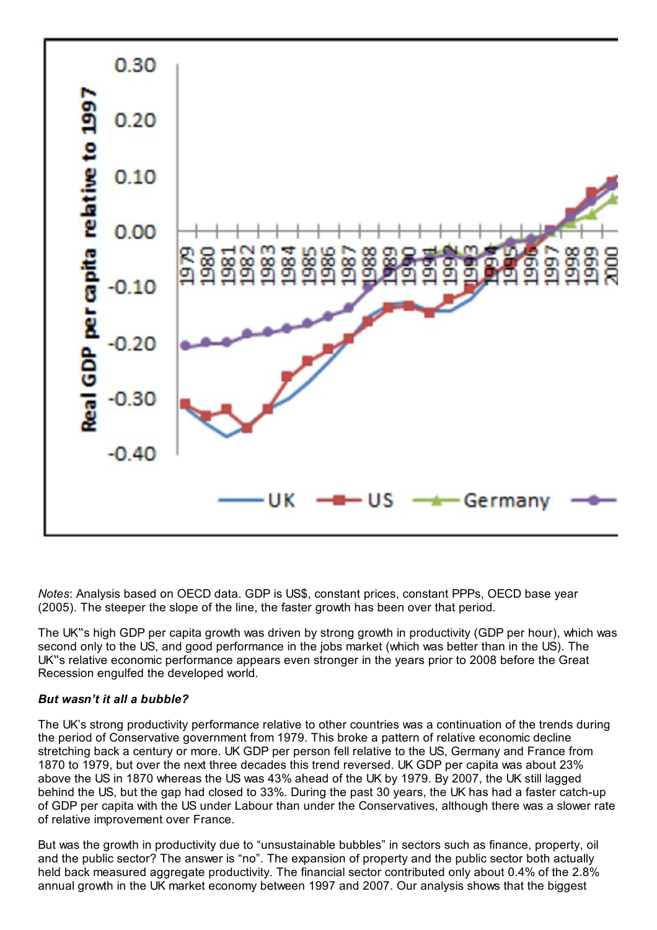

*Notes*: Analysis based on OECD data. GDP is US\$, constant prices, constant PPPs, OECD base year (2005). The steeper the slope of the line, the faster growth has been over that period.

The UK"s high GDP per capita growth was driven by strong growth in productivity (GDP per hour), which was second only to the US, and good performance in the jobs market (which was better than in the US). The UK"s relative economic performance appears even stronger in the years prior to 2008 before the Great Recession engulfed the developed world.

#### *But wasn't it all a bubble?*

The UK's strong productivity performance relative to other countries was a continuation of the trends during the period of Conservative government from 1979. This broke a pattern of relative economic decline stretching back a century or more. UK GDP per person fell relative to the US, Germany and France from 1870 to 1979, but over the next three decades this trend reversed. UK GDP per capita was about 23% above the US in 1870 whereas the US was 43% ahead of the UK by 1979. By 2007, the UK still lagged behind the US, but the gap had closed to 33%. During the past 30 years, the UK has had a faster catch-up of GDP per capita with the US under Labour than under the Conservatives, although there was a slower rate of relative improvement over France.

But was the growth in productivity due to "unsustainable bubbles" in sectors such as finance, property, oil and the public sector? The answer is "no". The expansion of property and the public sector both actually held back measured aggregate productivity. The financial sector contributed only about 0.4% of the 2.8% annual growth in the UK market economy between 1997 and 2007. Our analysis shows that the biggest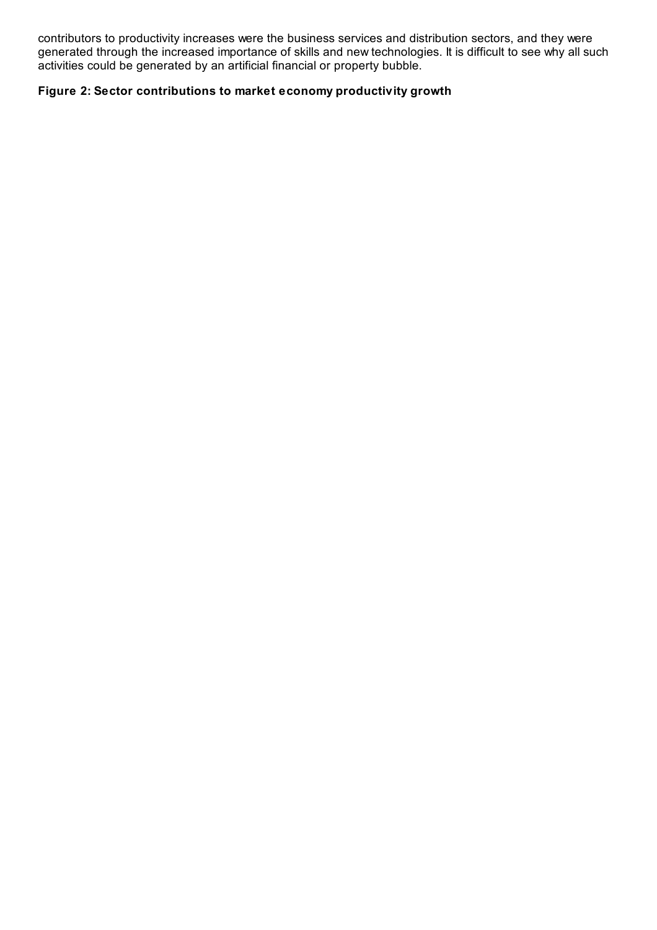contributors to productivity increases were the business services and distribution sectors, and they were generated through the increased importance of skills and new technologies. It is difficult to see why all such activities could be generated by an artificial financial or property bubble.

### **Figure 2: Sector contributions to market economy productivity growth**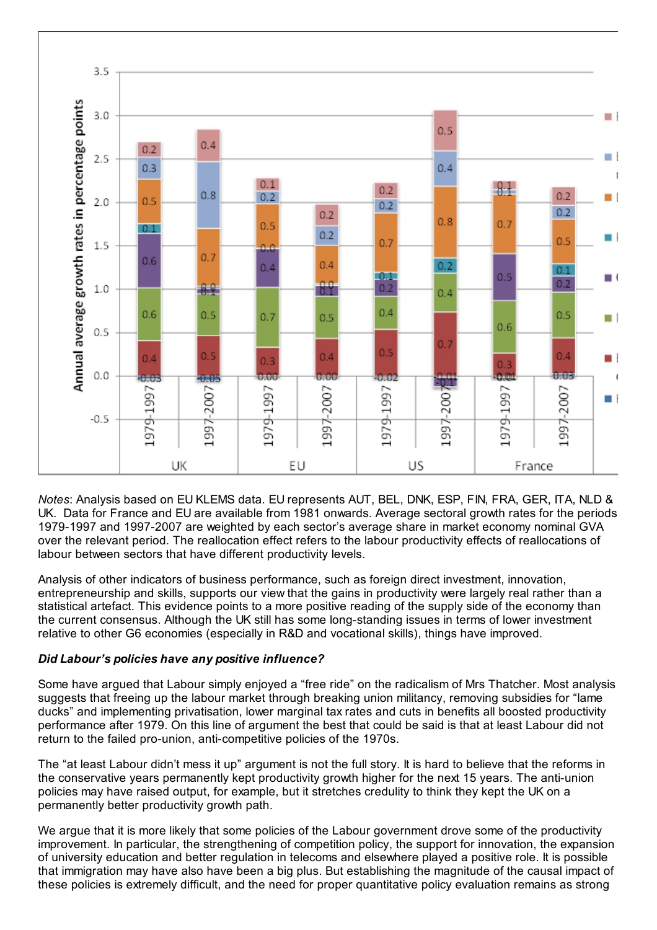

*Notes*: Analysis based on EU KLEMS data. EU represents AUT, BEL, DNK, ESP, FIN, FRA, GER, ITA, NLD & UK. Data for France and EU are available from 1981 onwards. Average sectoral growth rates for the periods 1979-1997 and 1997-2007 are weighted by each sector's average share in market economy nominal GVA over the relevant period. The reallocation effect refers to the labour productivity effects of reallocations of labour between sectors that have different productivity levels.

Analysis of other indicators of business performance, such as foreign direct investment, innovation, entrepreneurship and skills, supports our view that the gains in productivity were largely real rather than a statistical artefact. This evidence points to a more positive reading of the supply side of the economy than the current consensus. Although the UK still has some long-standing issues in terms of lower investment relative to other G6 economies (especially in R&D and vocational skills), things have improved.

#### *Did Labour's policies have any positive influence?*

Some have argued that Labour simply enjoyed a "free ride" on the radicalism of Mrs Thatcher. Most analysis suggests that freeing up the labour market through breaking union militancy, removing subsidies for "lame ducks" and implementing privatisation, lower marginal tax rates and cuts in benefits all boosted productivity performance after 1979. On this line of argument the best that could be said is that at least Labour did not return to the failed pro-union, anti-competitive policies of the 1970s.

The "at least Labour didn't mess it up" argument is not the full story. It is hard to believe that the reforms in the conservative years permanently kept productivity growth higher for the next 15 years. The anti-union policies may have raised output, for example, but it stretches credulity to think they kept the UK on a permanently better productivity growth path.

We argue that it is more likely that some policies of the Labour government drove some of the productivity improvement. In particular, the strengthening of competition policy, the support for innovation, the expansion of university education and better regulation in telecoms and elsewhere played a positive role. It is possible that immigration may have also have been a big plus. But establishing the magnitude of the causal impact of these policies is extremely difficult, and the need for proper quantitative policy evaluation remains as strong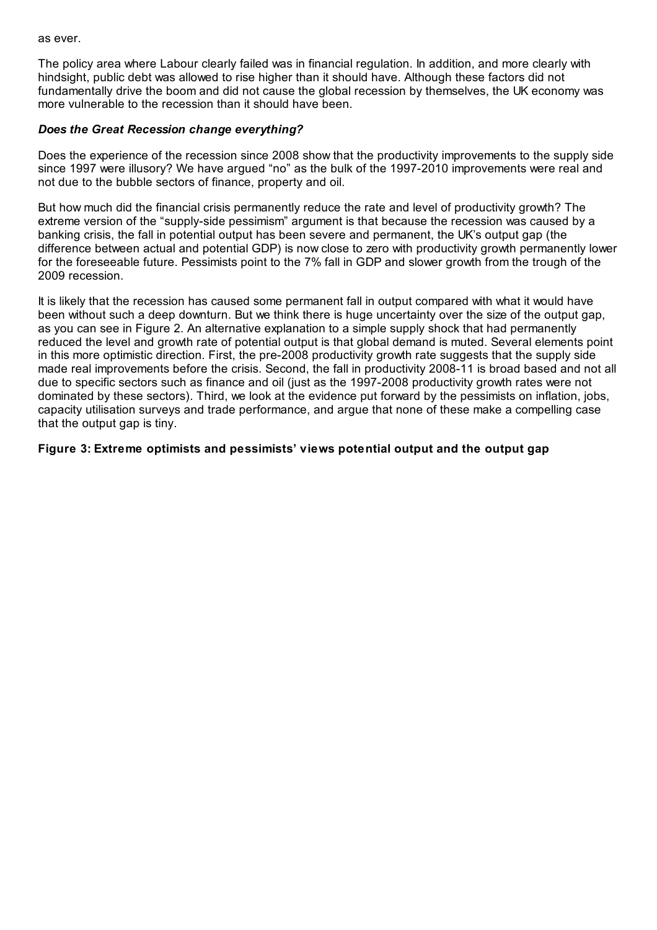as ever.

The policy area where Labour clearly failed was in financial regulation. In addition, and more clearly with hindsight, public debt was allowed to rise higher than it should have. Although these factors did not fundamentally drive the boom and did not cause the global recession by themselves, the UK economy was more vulnerable to the recession than it should have been.

#### *Does the Great Recession change everything?*

Does the experience of the recession since 2008 show that the productivity improvements to the supply side since 1997 were illusory? We have argued "no" as the bulk of the 1997-2010 improvements were real and not due to the bubble sectors of finance, property and oil.

But how much did the financial crisis permanently reduce the rate and level of productivity growth? The extreme version of the "supply-side pessimism" argument is that because the recession was caused by a banking crisis, the fall in potential output has been severe and permanent, the UK's output gap (the difference between actual and potential GDP) is now close to zero with productivity growth permanently lower for the foreseeable future. Pessimists point to the 7% fall in GDP and slower growth from the trough of the 2009 recession.

It is likely that the recession has caused some permanent fall in output compared with what it would have been without such a deep downturn. But we think there is huge uncertainty over the size of the output gap, as you can see in Figure 2. An alternative explanation to a simple supply shock that had permanently reduced the level and growth rate of potential output is that global demand is muted. Several elements point in this more optimistic direction. First, the pre-2008 productivity growth rate suggests that the supply side made real improvements before the crisis. Second, the fall in productivity 2008-11 is broad based and not all due to specific sectors such as finance and oil (just as the 1997-2008 productivity growth rates were not dominated by these sectors). Third, we look at the evidence put forward by the pessimists on inflation, jobs, capacity utilisation surveys and trade performance, and argue that none of these make a compelling case that the output gap is tiny.

**Figure 3: Extreme optimists and pessimists' views potential output and the output gap**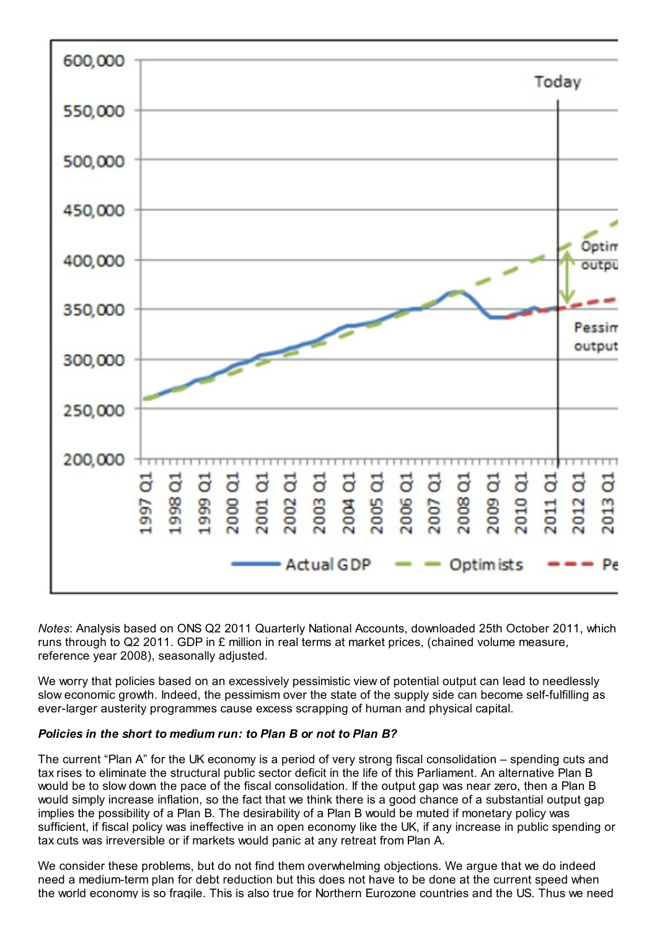

*Notes*: Analysis based on ONS Q2 2011 Quarterly National Accounts, downloaded 25th October 2011, which runs through to Q2 2011. GDP in £ million in real terms at market prices, (chained volume measure, reference year 2008), seasonally adjusted.

We worry that policies based on an excessively pessimistic view of potential output can lead to needlessly slow economic growth. Indeed, the pessimism over the state of the supply side can become self-fulfilling as ever-larger austerity programmes cause excess scrapping of human and physical capital.

#### *Policies in the short to medium run: to Plan B or not to Plan B?*

The current "Plan A" for the UK economy is a period of very strong fiscal consolidation – spending cuts and tax rises to eliminate the structural public sector deficit in the life of this Parliament. An alternative Plan B would be to slow down the pace of the fiscal consolidation. If the output gap was near zero, then a Plan B would simply increase inflation, so the fact that we think there is a good chance of a substantial output gap implies the possibility of a Plan B. The desirability of a Plan B would be muted if monetary policy was sufficient, if fiscal policy was ineffective in an open economy like the UK, if any increase in public spending or tax cuts was irreversible or if markets would panic at any retreat from Plan A.

We consider these problems, but do not find them overwhelming objections. We argue that we do indeed need a medium-term plan for debt reduction but this does not have to be done at the current speed when the world economy is so fragile. This is also true for Northern Eurozone countries and the US. Thus we need